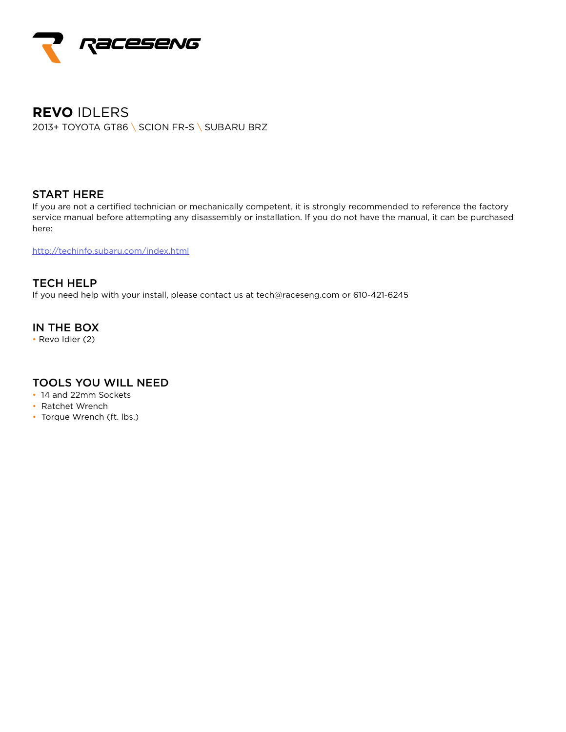

# **REVO** IDLERS 2013+ TOYOTA GT86 \ SCION FR-S \ SUBARU BRZ

### START HERE

If you are not a certified technician or mechanically competent, it is strongly recommended to reference the factory service manual before attempting any disassembly or installation. If you do not have the manual, it can be purchased here:

http://techinfo.subaru.com/index.html

TECH HELP If you need help with your install, please contact us at tech@raceseng.com or 610-421-6245

## IN THE BOX

• Revo Idler (2)

### TOOLS YOU WILL NEED

- 14 and 22mm Sockets
- Ratchet Wrench
- Torque Wrench (ft. lbs.)